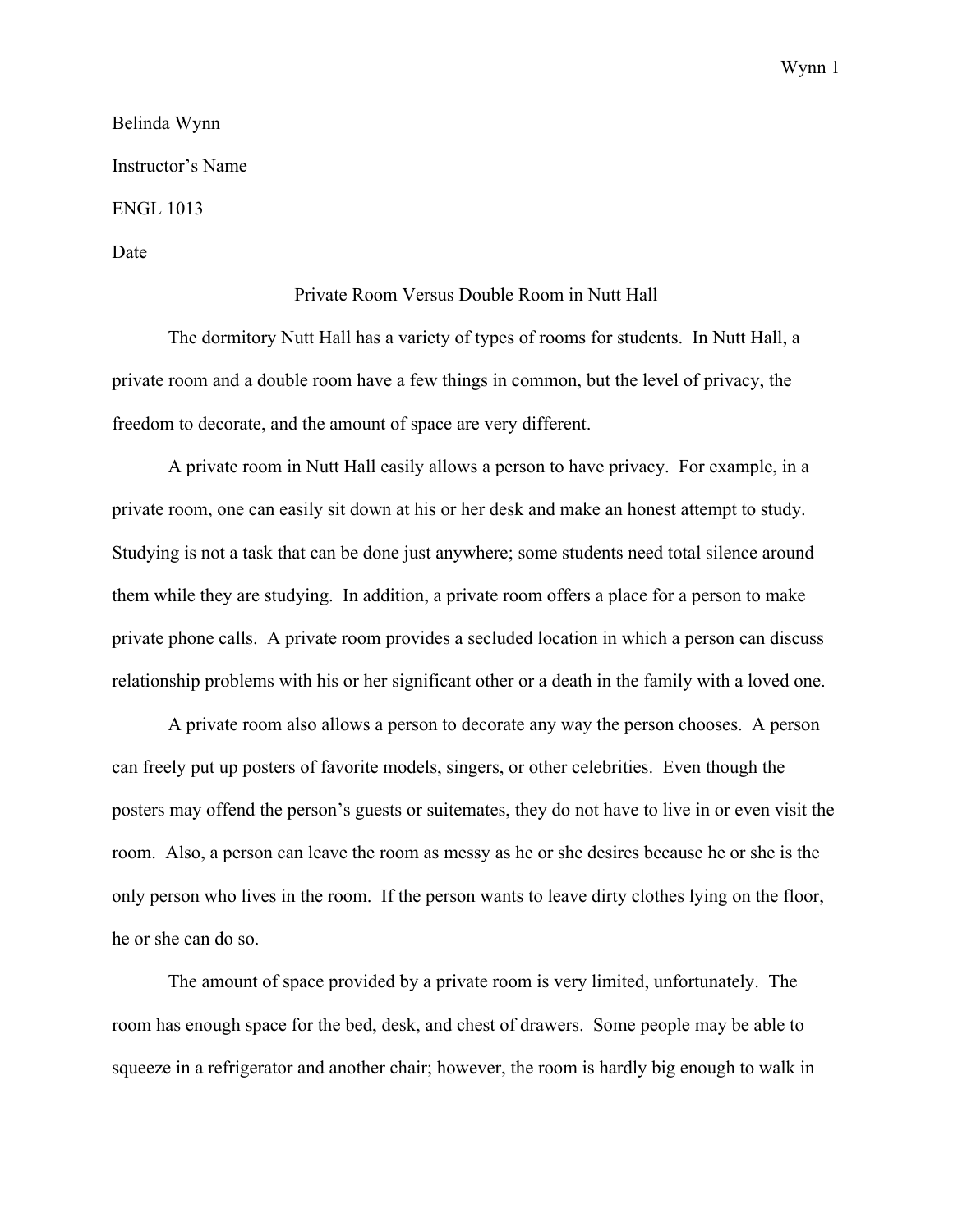Wynn 1

Belinda Wynn Instructor's Name ENGL 1013 Date

## Private Room Versus Double Room in Nutt Hall

The dormitory Nutt Hall has a variety of types of rooms for students. In Nutt Hall, a private room and a double room have a few things in common, but the level of privacy, the freedom to decorate, and the amount of space are very different.

A private room in Nutt Hall easily allows a person to have privacy. For example, in a private room, one can easily sit down at his or her desk and make an honest attempt to study. Studying is not a task that can be done just anywhere; some students need total silence around them while they are studying. In addition, a private room offers a place for a person to make private phone calls. A private room provides a secluded location in which a person can discuss relationship problems with his or her significant other or a death in the family with a loved one.

A private room also allows a person to decorate any way the person chooses. A person can freely put up posters of favorite models, singers, or other celebrities. Even though the posters may offend the person's guests or suitemates, they do not have to live in or even visit the room. Also, a person can leave the room as messy as he or she desires because he or she is the only person who lives in the room. If the person wants to leave dirty clothes lying on the floor, he or she can do so.

The amount of space provided by a private room is very limited, unfortunately. The room has enough space for the bed, desk, and chest of drawers. Some people may be able to squeeze in a refrigerator and another chair; however, the room is hardly big enough to walk in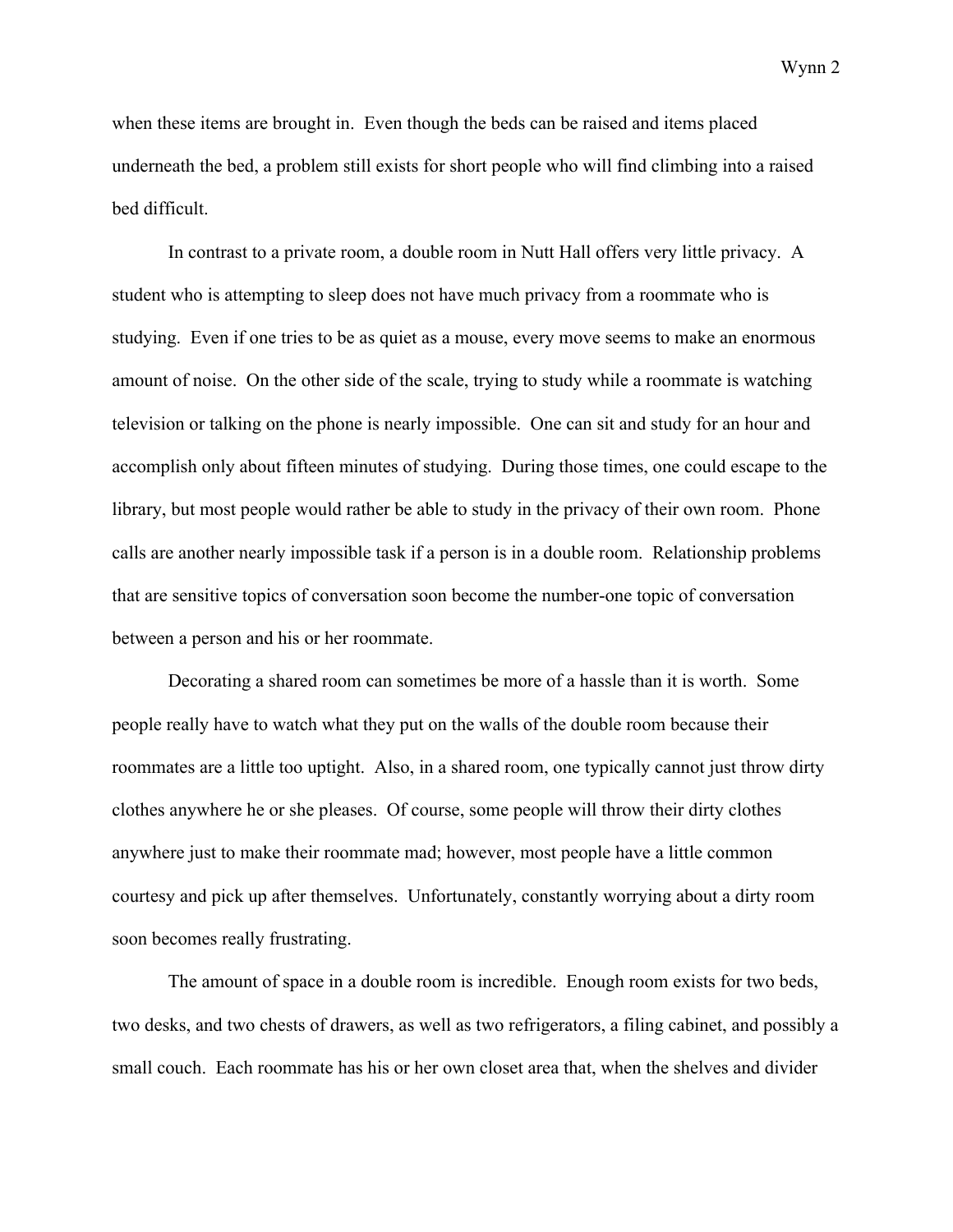Wynn 2

when these items are brought in. Even though the beds can be raised and items placed underneath the bed, a problem still exists for short people who will find climbing into a raised bed difficult.

In contrast to a private room, a double room in Nutt Hall offers very little privacy. A student who is attempting to sleep does not have much privacy from a roommate who is studying. Even if one tries to be as quiet as a mouse, every move seems to make an enormous amount of noise. On the other side of the scale, trying to study while a roommate is watching television or talking on the phone is nearly impossible. One can sit and study for an hour and accomplish only about fifteen minutes of studying. During those times, one could escape to the library, but most people would rather be able to study in the privacy of their own room. Phone calls are another nearly impossible task if a person is in a double room. Relationship problems that are sensitive topics of conversation soon become the number-one topic of conversation between a person and his or her roommate.

Decorating a shared room can sometimes be more of a hassle than it is worth. Some people really have to watch what they put on the walls of the double room because their roommates are a little too uptight. Also, in a shared room, one typically cannot just throw dirty clothes anywhere he or she pleases. Of course, some people will throw their dirty clothes anywhere just to make their roommate mad; however, most people have a little common courtesy and pick up after themselves. Unfortunately, constantly worrying about a dirty room soon becomes really frustrating.

The amount of space in a double room is incredible. Enough room exists for two beds, two desks, and two chests of drawers, as well as two refrigerators, a filing cabinet, and possibly a small couch. Each roommate has his or her own closet area that, when the shelves and divider